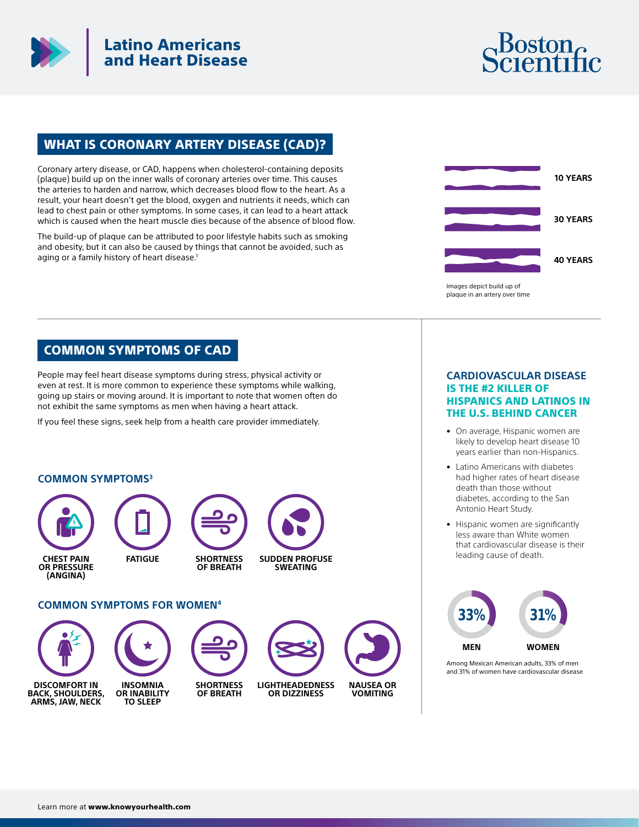

# Latino Americans and Heart Disease



## WHAT IS CORONARY ARTERY DISEASE (CAD)?

Coronary artery disease, or CAD, happens when cholesterol-containing deposits (plaque) build up on the inner walls of coronary arteries over time. This causes the arteries to harden and narrow, which decreases blood flow to the heart. As a result, your heart doesn't get the blood, oxygen and nutrients it needs, which can lead to chest pain or other symptoms. In some cases, it can lead to a heart attack which is caused when the heart muscle dies because of the absence of blood flow.

The build-up of plaque can be attributed to poor lifestyle habits such as smoking and obesity, but it can also be caused by things that cannot be avoided, such as aging or a family history of heart disease.<sup>1</sup>



### COMMON SYMPTOMS OF CAD

People may feel heart disease symptoms during stress, physical activity or even at rest. It is more common to experience these symptoms while walking, going up stairs or moving around. It is important to note that women often do not exhibit the same symptoms as men when having a heart attack.

If you feel these signs, seek help from a health care provider immediately.

### **COMMON SYMPTOMS3**



**OF BREATH**

#### **LIGHTHEADEDNESS OR DIZZINESS**



### **CARDIOVASCULAR DISEASE**  IS THE #2 KILLER OF HISPANICS AND LATINOS IN THE U.S. BEHIND CANCER

- On average, Hispanic women are likely to develop heart disease 10 years earlier than non-Hispanics.
- Latino Americans with diabetes had higher rates of heart disease death than those without diabetes, according to the San Antonio Heart Study.
- Hispanic women are significantly less aware than White women that cardiovascular disease is their leading cause of death.



Among Mexican American adults, 33% of men and 31% of women have cardiovascular disease



**OR INABILITY**

**BACK, SHOULDERS,**